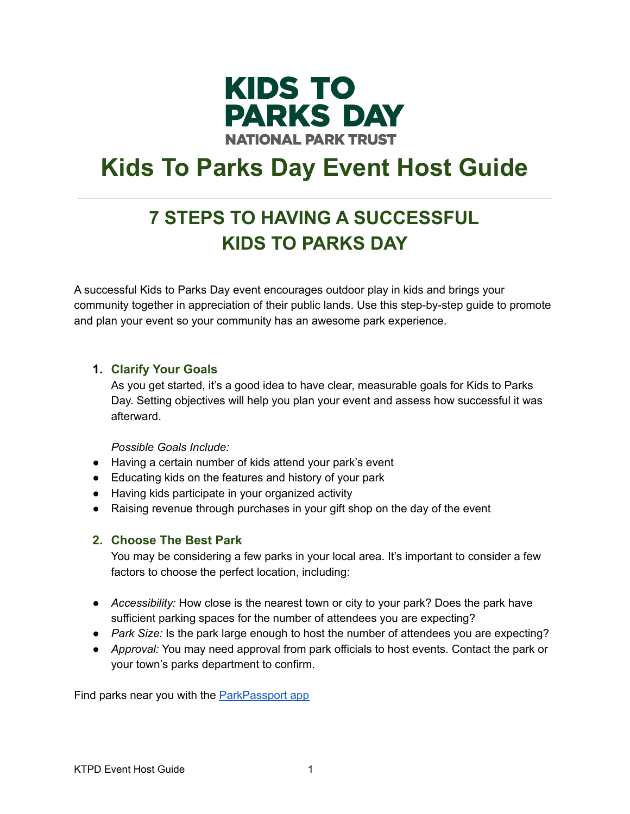

# **Kids To Parks Day Event Host Guide**

# **7 STEPS TO HAVING A SUCCESSFUL KIDS TO PARKS DAY**

A successful Kids to Parks Day event encourages outdoor play in kids and brings your community together in appreciation of their public lands. Use this step-by-step guide to promote and plan your event so your community has an awesome park experience.

# **1. Clarify Your Goals**

As you get started, it's a good idea to have clear, measurable goals for Kids to Parks Day. Setting objectives will help you plan your event and assess how successful it was afterward.

*Possible Goals Include:*

- Having a certain number of kids attend your park's event
- Educating kids on the features and history of your park
- Having kids participate in your organized activity
- Raising revenue through purchases in your gift shop on the day of the event

# **2. Choose The Best Park**

You may be considering a few parks in your local area. It's important to consider a few factors to choose the perfect location, including:

- *Accessibility:* How close is the nearest town or city to your park? Does the park have sufficient parking spaces for the number of attendees you are expecting?
- *Park Size:* Is the park large enough to host the number of attendees you are expecting?
- *Approval:* You may need approval from park officials to host events. Contact the park or your town's parks department to confirm.

Find parks near you with the **[ParkPassport](https://parkpassport.parktrust.org/download/) app**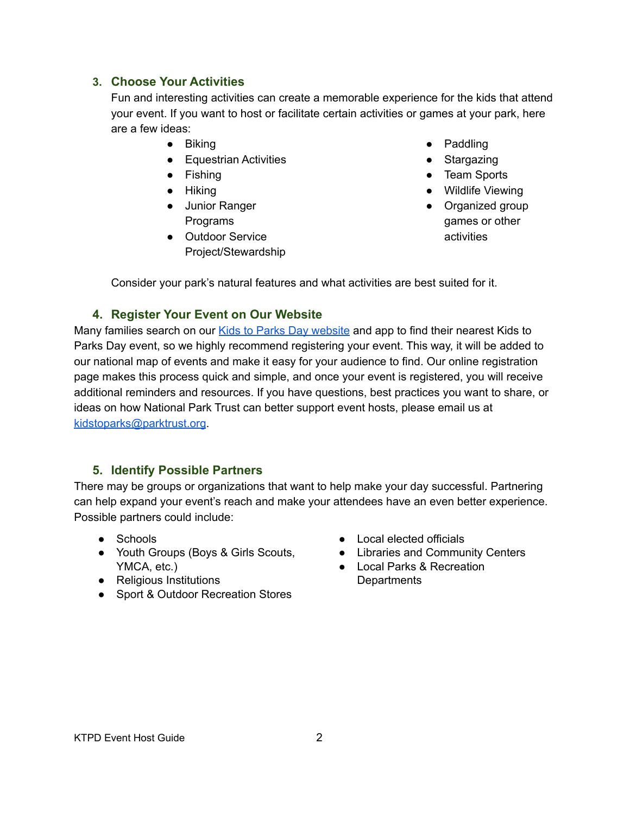# **3. Choose Your Activities**

Fun and interesting activities can create a memorable experience for the kids that attend your event. If you want to host or facilitate certain activities or games at your park, here are a few ideas:

- Biking
- Equestrian Activities
- Fishing
- Hiking
- Junior Ranger Programs
- Outdoor Service Project/Stewardship
- Paddling
- Stargazing
- Team Sports
- Wildlife Viewing
- Organized group games or other activities

Consider your park's natural features and what activities are best suited for it.

# **4. Register Your Event on Our Website**

Many families search on our Kids to Parks Day [website](https://parktrust.org/kids-to-parks-day/) and app to find their nearest Kids to Parks Day event, so we highly recommend registering your event. This way, it will be added to our national map of events and make it easy for your audience to find. Our online registration page makes this process quick and simple, and once your event is registered, you will receive additional reminders and resources. If you have questions, best practices you want to share, or ideas on how National Park Trust can better support event hosts, please email us at [kidstoparks@parktrust.org](mailto:kidstoparks@parktrust.org).

# **5. Identify Possible Partners**

There may be groups or organizations that want to help make your day successful. Partnering can help expand your event's reach and make your attendees have an even better experience. Possible partners could include:

- Schools
- Youth Groups (Boys & Girls Scouts, YMCA, etc.)
- Religious Institutions
- Sport & Outdoor Recreation Stores
- Local elected officials
- Libraries and Community Centers
- Local Parks & Recreation **Departments**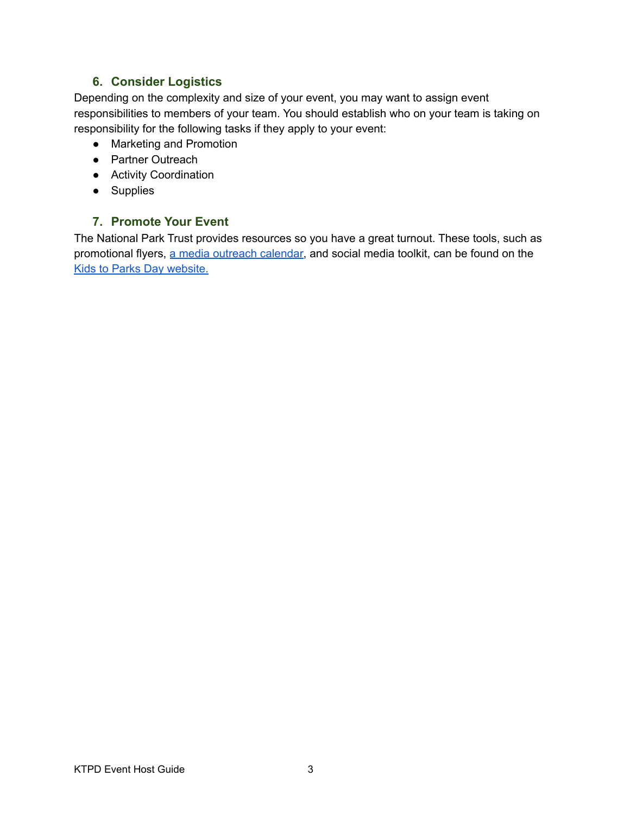# **6. Consider Logistics**

Depending on the complexity and size of your event, you may want to assign event responsibilities to members of your team. You should establish who on your team is taking on responsibility for the following tasks if they apply to your event:

- Marketing and Promotion
- Partner Outreach
- Activity Coordination
- Supplies

# **7. Promote Your Event**

The National Park Trust provides resources so you have a great turnout. These tools, such as promotional flyers, a media [outreach](https://parktrust.org/kids-to-parks-day-media-outreach-calendar/) calendar, and social media toolkit, can be found on the Kids to Parks Day [website.](https://parktrust.org/kids-to-parks-day/)